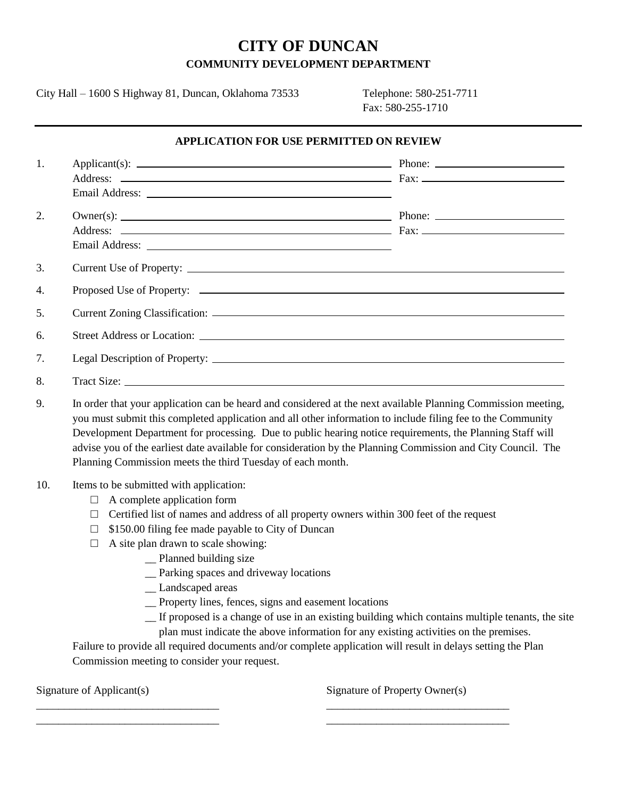# **CITY OF DUNCAN COMMUNITY DEVELOPMENT DEPARTMENT**

City Hall – 1600 S Highway 81, Duncan, Oklahoma 73533 Telephone: 580-251-7711

Fax: 580-255-1710

#### **APPLICATION FOR USE PERMITTED ON REVIEW**

| 1. |                                                                                                                                                                                                                                      |                                                                                                                                                                                                                                                                                          |
|----|--------------------------------------------------------------------------------------------------------------------------------------------------------------------------------------------------------------------------------------|------------------------------------------------------------------------------------------------------------------------------------------------------------------------------------------------------------------------------------------------------------------------------------------|
|    |                                                                                                                                                                                                                                      |                                                                                                                                                                                                                                                                                          |
|    | Email Address: <u>New York: New York: New York: New York: New York: New York: New York: New York: New York: New York: New York: New York: New York: New York: New York: New York: New York: New York: New York: New York: New Yo</u> |                                                                                                                                                                                                                                                                                          |
| 2. |                                                                                                                                                                                                                                      | $Owner(s)$ : $\rule{1em}{0.15mm}$ Phone: $\rule{1.15mm}{0.15mm}$ Phone: $\rule{1.15mm}{0.15mm}$ Phone: $\rule{1.15mm}{0.15mm}$ Phone: $\rule{1.15mm}{0.15mm}$ Phone: $\rule{1.15mm}{0.15mm}$ Phone: $\rule{1.15mm}{0.15mm}$ Phone: $\rule{1.15mm}{0.15mm}$ Phone: $\rule{1.15mm}{0.15mm$ |
|    |                                                                                                                                                                                                                                      |                                                                                                                                                                                                                                                                                          |
|    |                                                                                                                                                                                                                                      |                                                                                                                                                                                                                                                                                          |
| 3. |                                                                                                                                                                                                                                      |                                                                                                                                                                                                                                                                                          |
| 4. |                                                                                                                                                                                                                                      |                                                                                                                                                                                                                                                                                          |
| 5. |                                                                                                                                                                                                                                      |                                                                                                                                                                                                                                                                                          |
| 6. |                                                                                                                                                                                                                                      |                                                                                                                                                                                                                                                                                          |
| 7. |                                                                                                                                                                                                                                      |                                                                                                                                                                                                                                                                                          |
| 8. |                                                                                                                                                                                                                                      |                                                                                                                                                                                                                                                                                          |

9. In order that your application can be heard and considered at the next available Planning Commission meeting, you must submit this completed application and all other information to include filing fee to the Community Development Department for processing. Due to public hearing notice requirements, the Planning Staff will advise you of the earliest date available for consideration by the Planning Commission and City Council. The Planning Commission meets the third Tuesday of each month.

## 10. Items to be submitted with application:

- $\Box$  A complete application form
- $\Box$  Certified list of names and address of all property owners within 300 feet of the request
- $\Box$  \$150.00 filing fee made payable to City of Duncan
- $\Box$  A site plan drawn to scale showing:
	- \_\_ Planned building size
		- \_\_ Parking spaces and driveway locations
		- \_\_ Landscaped areas
		- \_\_ Property lines, fences, signs and easement locations

\_\_\_\_\_\_\_\_\_\_\_\_\_\_\_\_\_\_\_\_\_\_\_\_\_\_\_\_\_\_\_\_\_ \_\_\_\_\_\_\_\_\_\_\_\_\_\_\_\_\_\_\_\_\_\_\_\_\_\_\_\_\_\_\_\_\_ \_\_\_\_\_\_\_\_\_\_\_\_\_\_\_\_\_\_\_\_\_\_\_\_\_\_\_\_\_\_\_\_\_ \_\_\_\_\_\_\_\_\_\_\_\_\_\_\_\_\_\_\_\_\_\_\_\_\_\_\_\_\_\_\_\_\_

- \_\_ If proposed is a change of use in an existing building which contains multiple tenants, the site
- plan must indicate the above information for any existing activities on the premises.

Failure to provide all required documents and/or complete application will result in delays setting the Plan Commission meeting to consider your request.

Signature of Applicant(s) Signature of Property Owner(s)